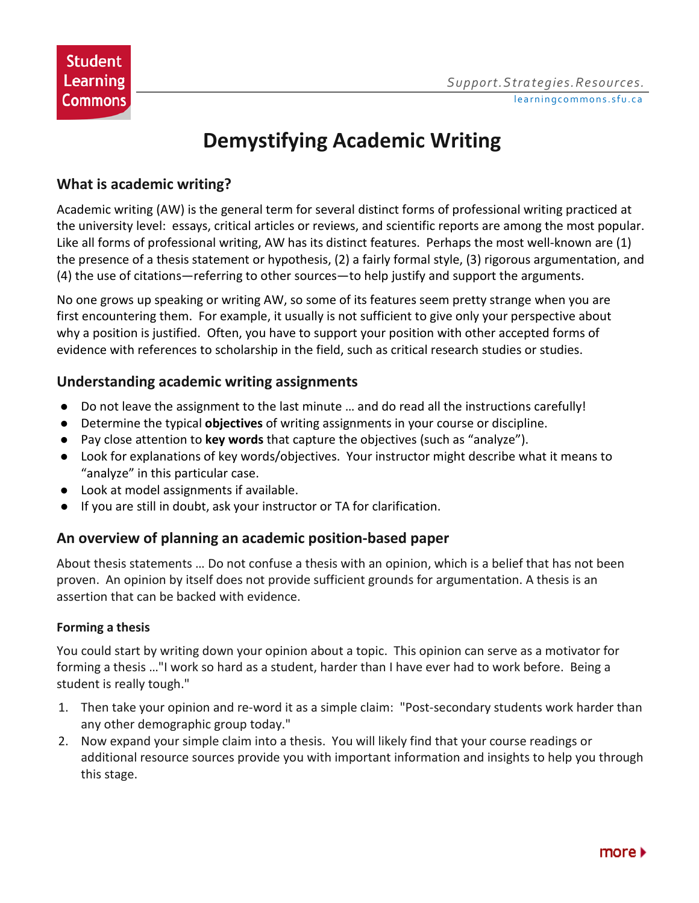# **Demystifying Academic Writing**

## **What is academic writing?**

Academic writing (AW) is the general term for several distinct forms of professional writing practiced at the university level: essays, critical articles or reviews, and scientific reports are among the most popular. Like all forms of professional writing, AW has its distinct features. Perhaps the most well-known are (1) the presence of a thesis statement or hypothesis, (2) a fairly formal style, (3) rigorous argumentation, and (4) the use of citations—referring to other sources—to help justify and support the arguments.

No one grows up speaking or writing AW, so some of its features seem pretty strange when you are first encountering them. For example, it usually is not sufficient to give only your perspective about why a position is justified. Often, you have to support your position with other accepted forms of evidence with references to scholarship in the field, such as critical research studies or studies.

### **Understanding academic writing assignments**

- Do not leave the assignment to the last minute … and do read all the instructions carefully!
- Determine the typical **objectives** of writing assignments in your course or discipline.
- Pay close attention to **key words** that capture the objectives (such as "analyze").
- Look for explanations of key words/objectives. Your instructor might describe what it means to "analyze" in this particular case.
- Look at model assignments if available.
- If you are still in doubt, ask your instructor or TA for clarification.

## **An overview of planning an academic position-based paper**

About thesis statements … Do not confuse a thesis with an opinion, which is a belief that has not been proven. An opinion by itself does not provide sufficient grounds for argumentation. A thesis is an assertion that can be backed with evidence.

#### **Forming a thesis**

You could start by writing down your opinion about a topic. This opinion can serve as a motivator for forming a thesis …"I work so hard as a student, harder than I have ever had to work before. Being a student is really tough."

- 1. Then take your opinion and re-word it as a simple claim: "Post-secondary students work harder than any other demographic group today."
- 2. Now expand your simple claim into a thesis. You will likely find that your course readings or additional resource sources provide you with important information and insights to help you through this stage.